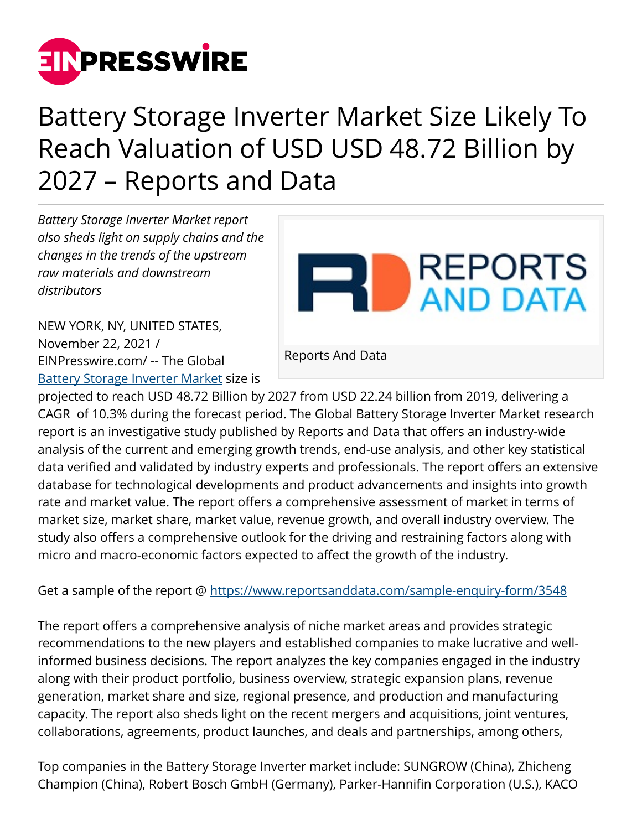

## Battery Storage Inverter Market Size Likely To Reach Valuation of USD USD 48.72 Billion by 2027 – Reports and Data

*Battery Storage Inverter Market report also sheds light on supply chains and the changes in the trends of the upstream raw materials and downstream distributors*

**REPORTS** AND DATA

NEW YORK, NY, UNITED STATES, November 22, 2021 / [EINPresswire.com](http://www.einpresswire.com)/ -- The Global [Battery Storage Inverter Market](https://www.reportsanddata.com/report-detail/battery-storage-inverter-market) size is

Reports And Data

projected to reach USD 48.72 Billion by 2027 from USD 22.24 billion from 2019, delivering a CAGR of 10.3% during the forecast period. The Global Battery Storage Inverter Market research report is an investigative study published by Reports and Data that offers an industry-wide analysis of the current and emerging growth trends, end-use analysis, and other key statistical data verified and validated by industry experts and professionals. The report offers an extensive database for technological developments and product advancements and insights into growth rate and market value. The report offers a comprehensive assessment of market in terms of market size, market share, market value, revenue growth, and overall industry overview. The study also offers a comprehensive outlook for the driving and restraining factors along with micro and macro-economic factors expected to affect the growth of the industry.

Get a sample of the report @<https://www.reportsanddata.com/sample-enquiry-form/3548>

The report offers a comprehensive analysis of niche market areas and provides strategic recommendations to the new players and established companies to make lucrative and wellinformed business decisions. The report analyzes the key companies engaged in the industry along with their product portfolio, business overview, strategic expansion plans, revenue generation, market share and size, regional presence, and production and manufacturing capacity. The report also sheds light on the recent mergers and acquisitions, joint ventures, collaborations, agreements, product launches, and deals and partnerships, among others,

Top companies in the Battery Storage Inverter market include: SUNGROW (China), Zhicheng Champion (China), Robert Bosch GmbH (Germany), Parker-Hannifin Corporation (U.S.), KACO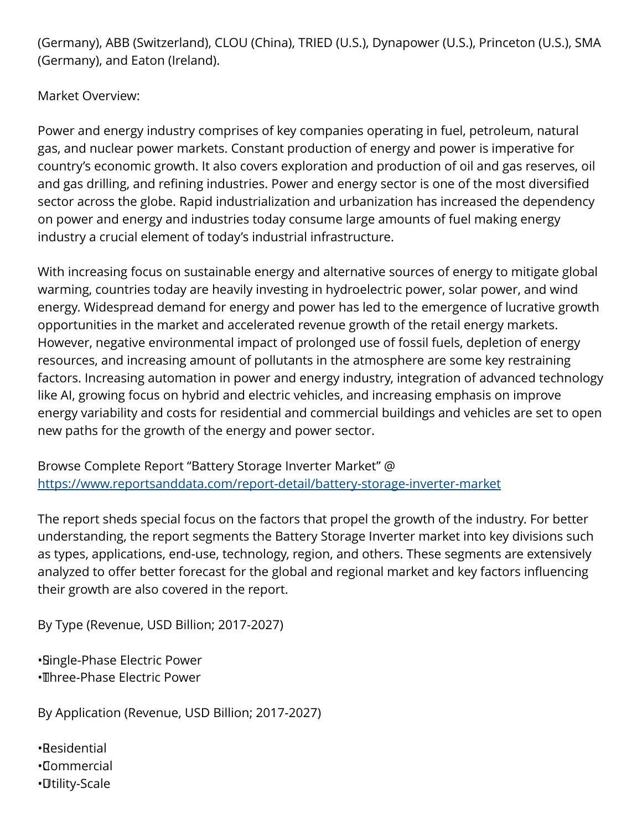(Germany), ABB (Switzerland), CLOU (China), TRIED (U.S.), Dynapower (U.S.), Princeton (U.S.), SMA (Germany), and Eaton (Ireland).

Market Overview:

Power and energy industry comprises of key companies operating in fuel, petroleum, natural gas, and nuclear power markets. Constant production of energy and power is imperative for country's economic growth. It also covers exploration and production of oil and gas reserves, oil and gas drilling, and refining industries. Power and energy sector is one of the most diversified sector across the globe. Rapid industrialization and urbanization has increased the dependency on power and energy and industries today consume large amounts of fuel making energy industry a crucial element of today's industrial infrastructure.

With increasing focus on sustainable energy and alternative sources of energy to mitigate global warming, countries today are heavily investing in hydroelectric power, solar power, and wind energy. Widespread demand for energy and power has led to the emergence of lucrative growth opportunities in the market and accelerated revenue growth of the retail energy markets. However, negative environmental impact of prolonged use of fossil fuels, depletion of energy resources, and increasing amount of pollutants in the atmosphere are some key restraining factors. Increasing automation in power and energy industry, integration of advanced technology like AI, growing focus on hybrid and electric vehicles, and increasing emphasis on improve energy variability and costs for residential and commercial buildings and vehicles are set to open new paths for the growth of the energy and power sector.

Browse Complete Report "Battery Storage Inverter Market" @ <https://www.reportsanddata.com/report-detail/battery-storage-inverter-market>

The report sheds special focus on the factors that propel the growth of the industry. For better understanding, the report segments the Battery Storage Inverter market into key divisions such as types, applications, end-use, technology, region, and others. These segments are extensively analyzed to offer better forecast for the global and regional market and key factors influencing their growth are also covered in the report.

By Type (Revenue, USD Billion; 2017-2027)

• Single-Phase Electric Power • Three-Phase Electric Power

By Application (Revenue, USD Billion; 2017-2027)

• Residential • Commercial • Utility-Scale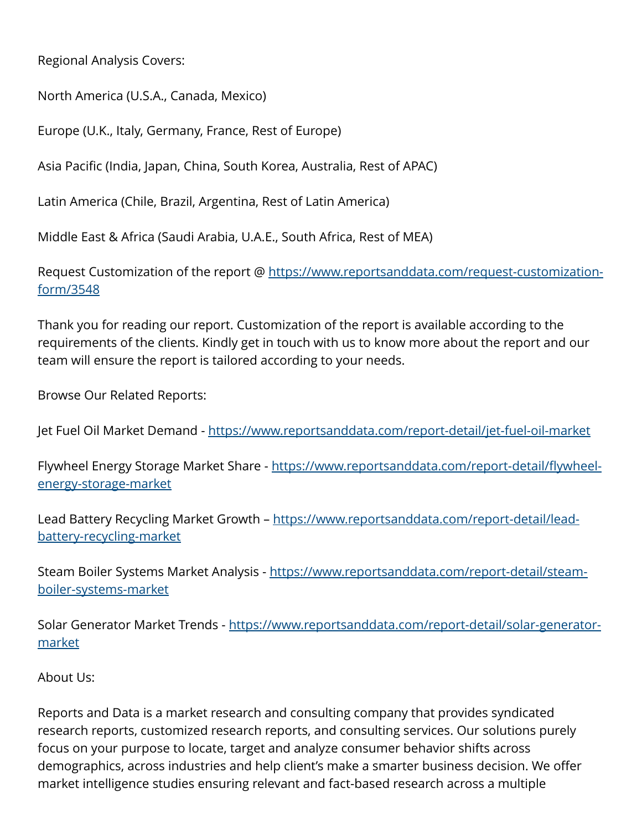Regional Analysis Covers:

North America (U.S.A., Canada, Mexico)

Europe (U.K., Italy, Germany, France, Rest of Europe)

Asia Pacific (India, Japan, China, South Korea, Australia, Rest of APAC)

Latin America (Chile, Brazil, Argentina, Rest of Latin America)

Middle East & Africa (Saudi Arabia, U.A.E., South Africa, Rest of MEA)

Request Customization of the report @ [https://www.reportsanddata.com/request-customization](https://www.reportsanddata.com/request-customization-form/3548)[form/3548](https://www.reportsanddata.com/request-customization-form/3548)

Thank you for reading our report. Customization of the report is available according to the requirements of the clients. Kindly get in touch with us to know more about the report and our team will ensure the report is tailored according to your needs.

Browse Our Related Reports:

Jet Fuel Oil Market Demand - <https://www.reportsanddata.com/report-detail/jet-fuel-oil-market>

Flywheel Energy Storage Market Share - [https://www.reportsanddata.com/report-detail/flywheel](https://www.reportsanddata.com/report-detail/flywheel-energy-storage-market)[energy-storage-market](https://www.reportsanddata.com/report-detail/flywheel-energy-storage-market)

Lead Battery Recycling Market Growth - [https://www.reportsanddata.com/report-detail/lead](https://www.reportsanddata.com/report-detail/lead-battery-recycling-market)[battery-recycling-market](https://www.reportsanddata.com/report-detail/lead-battery-recycling-market)

Steam Boiler Systems Market Analysis - [https://www.reportsanddata.com/report-detail/steam](https://www.reportsanddata.com/report-detail/steam-boiler-systems-market)[boiler-systems-market](https://www.reportsanddata.com/report-detail/steam-boiler-systems-market)

Solar Generator Market Trends - [https://www.reportsanddata.com/report-detail/solar-generator](https://www.reportsanddata.com/report-detail/solar-generator-market)[market](https://www.reportsanddata.com/report-detail/solar-generator-market)

About Us:

Reports and Data is a market research and consulting company that provides syndicated research reports, customized research reports, and consulting services. Our solutions purely focus on your purpose to locate, target and analyze consumer behavior shifts across demographics, across industries and help client's make a smarter business decision. We offer market intelligence studies ensuring relevant and fact-based research across a multiple